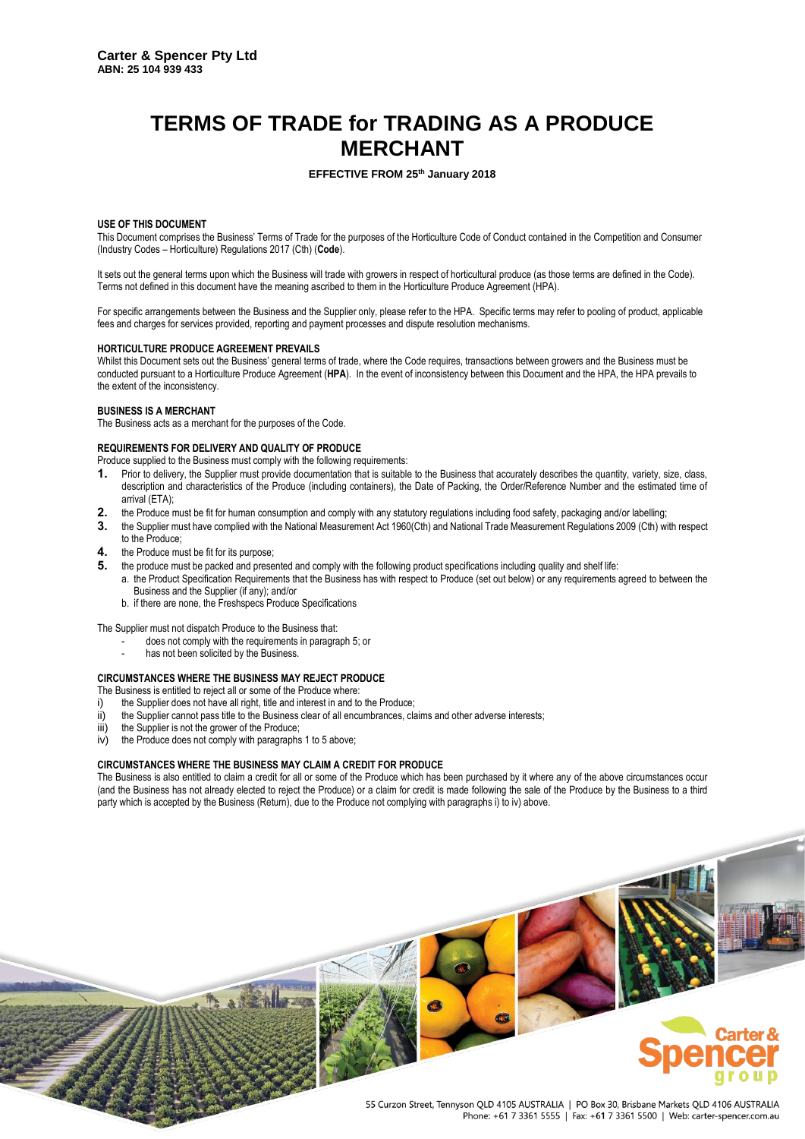# **TERMS OF TRADE for TRADING AS A PRODUCE MERCHANT**

# **EFFECTIVE FROM 25th January 2018**

# **USE OF THIS DOCUMENT**

This Document comprises the Business' Terms of Trade for the purposes of the Horticulture Code of Conduct contained in the Competition and Consumer (Industry Codes – Horticulture) Regulations 2017 (Cth) (**Code**).

It sets out the general terms upon which the Business will trade with growers in respect of horticultural produce (as those terms are defined in the Code). Terms not defined in this document have the meaning ascribed to them in the Horticulture Produce Agreement (HPA).

For specific arrangements between the Business and the Supplier only, please refer to the HPA. Specific terms may refer to pooling of product, applicable fees and charges for services provided, reporting and payment processes and dispute resolution mechanisms.

#### **HORTICULTURE PRODUCE AGREEMENT PREVAILS**

Whilst this Document sets out the Business' general terms of trade, where the Code requires, transactions between growers and the Business must be conducted pursuant to a Horticulture Produce Agreement (**HPA**). In the event of inconsistency between this Document and the HPA, the HPA prevails to the extent of the inconsistency.

#### **BUSINESS IS A MERCHANT**

The Business acts as a merchant for the purposes of the Code.

#### **REQUIREMENTS FOR DELIVERY AND QUALITY OF PRODUCE**

Produce supplied to the Business must comply with the following requirements:

- <span id="page-0-1"></span>**1.** Prior to delivery, the Supplier must provide documentation that is suitable to the Business that accurately describes the quantity, variety, size, class, description and characteristics of the Produce (including containers), the Date of Packing, the Order/Reference Number and the estimated time of arrival (ETA);
- **2.** the Produce must be fit for human consumption and comply with any statutory regulations including food safety, packaging and/or labelling;
- **3.** the Supplier must have complied with the National Measurement Act 1960(Cth) and National Trade Measurement Regulations 2009 (Cth) with respect to the Produce;
- **4.** the Produce must be fit for its purpose;
- <span id="page-0-0"></span>**5.** the produce must be packed and presented and comply with the following product specifications including quality and shelf life:
	- a. the Product Specification Requirements that the Business has with respect to Produce (set out below) or any requirements agreed to between the Business and the Supplier (if any); and/or
	- b. if there are none, the Freshspecs Produce Specifications

The Supplier must not dispatch Produce to the Business that:

- does not comply with the requirements in paragraph [5;](#page-0-0) or
- has not been solicited by the Business.

### **CIRCUMSTANCES WHERE THE BUSINESS MAY REJECT PRODUCE**

The Business is entitled to reject all or some of the Produce where:

- i) the Supplier does not have all right, title and interest in and to the Produce;
- ii) the Supplier cannot pass title to the Business clear of all encumbrances, claims and other adverse interests;
- iii) the Supplier is not the grower of the Produce;
- iv) the Produce does not comply with paragraph[s 1](#page-0-1) t[o 5](#page-0-0) above;

## **CIRCUMSTANCES WHERE THE BUSINESS MAY CLAIM A CREDIT FOR PRODUCE**

The Business is also entitled to claim a credit for all or some of the Produce which has been purchased by it where any of the above circumstances occur (and the Business has not already elected to reject the Produce) or a claim for credit is made following the sale of the Produce by the Business to a third party which is accepted by the Business (Return), due to the Produce not complying with paragraphs i) to iv) above.